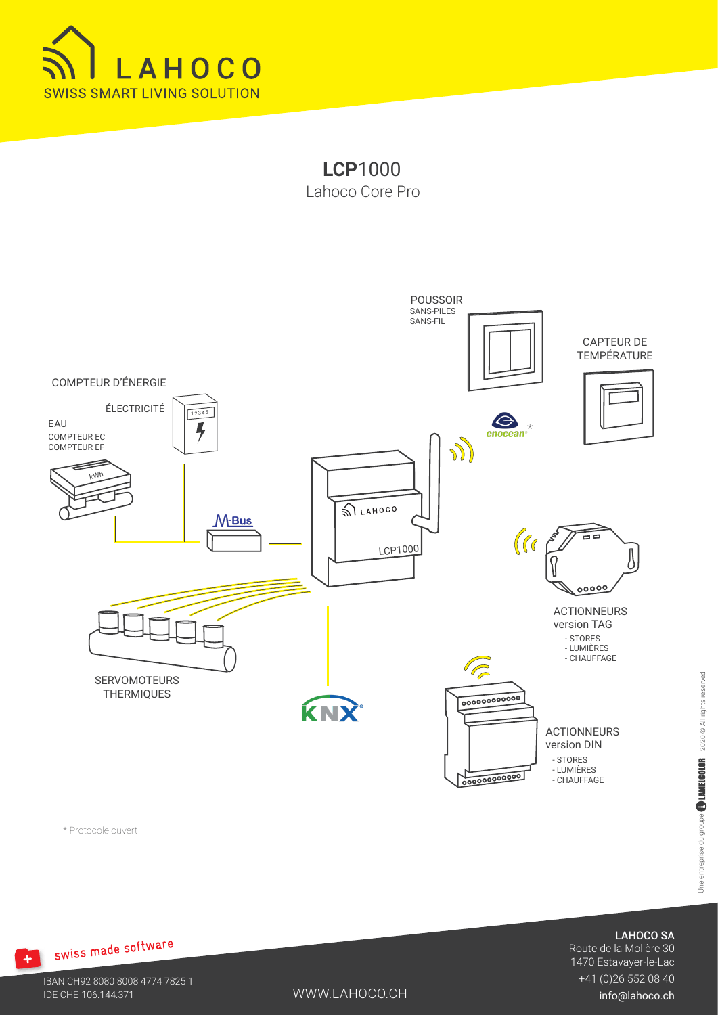





\* Protocole ouvert

LAHOCO SA

Route de la Molière 30 1470 Estavayer-le-Lac +41 (0)26 552 08 40

IBAN CH92 8080 8008 4774 7825 1 IDE CHE-106.144.371

+ swiss made software

WWW.LAHOCO.CH

info@lahoco.ch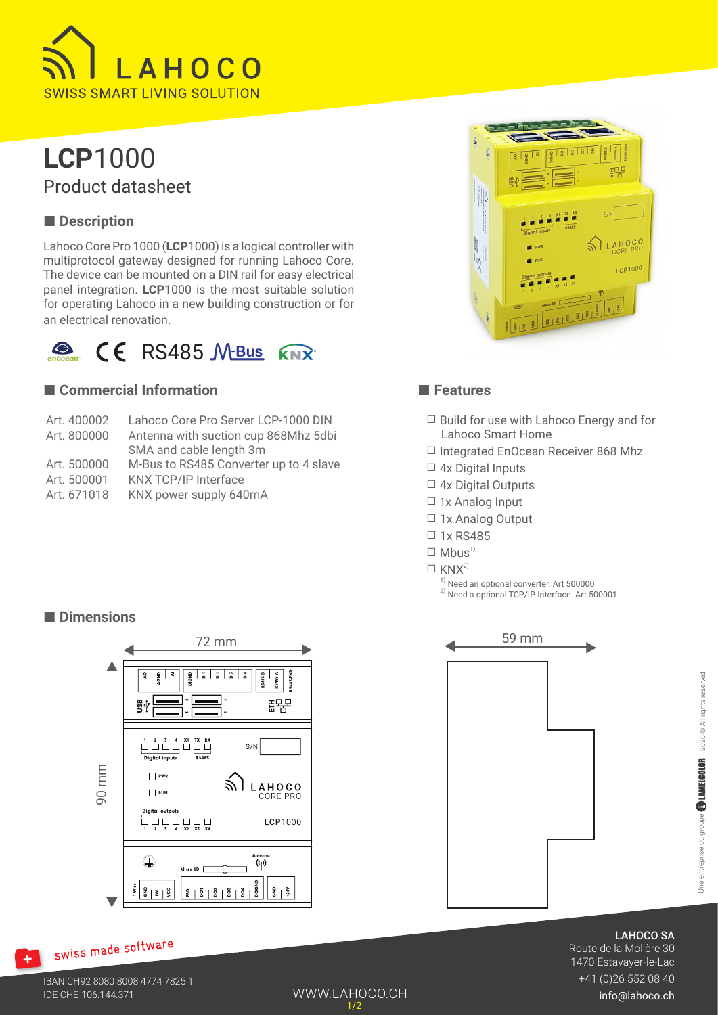

## **LCP**1000 Product datasheet

## ■ **Description**

Lahoco Core Pro 1000 (**LCP**1000) is a logical controller with multiprotocol gateway designed for running Lahoco Core. The device can be mounted on a DIN rail for easy electrical panel integration. **LCP**1000 is the most suitable solution for operating Lahoco in a new building construction or for an electrical renovation.



### ■ **Commercial Information**

| Art. 400002 | Lahoco Core Pro Server LCP-1000 DIN    |
|-------------|----------------------------------------|
| Art. 800000 | Antenna with suction cup 868Mhz 5dbi   |
|             | SMA and cable length 3m                |
| Art. 500000 | M-Bus to RS485 Converter up to 4 slave |
| Art. 500001 | <b>KNX TCP/IP Interface</b>            |
| Art. 671018 | KNX power supply 640mA                 |
|             |                                        |



### ■ **Features**

- ☐ Build for use with Lahoco Energy and for Lahoco Smart Home
- ☐ Integrated EnOcean Receiver 868 Mhz
- $\Box$  4x Digital Inputs
- □ 4x Digital Outputs
- □ 1x Analog Input
- □ 1x Analog Output
- ☐ 1x RS485
- $\Box$  Mbus<sup>1)</sup>
- $\Box$  KNX<sup>2)</sup>

WWW.LAHOCO.CH

1/2

 $\frac{1}{1}$  Need an optional converter. Art 500000 2) Need a optional TCP/IP Interface. Art 500001





## swiss made software

 $+1$ 



LAHOCO SA

Route de la Molière 30 1470 Estavayer-le-Lac +41 (0)26 552 08 40

info@lahoco.ch